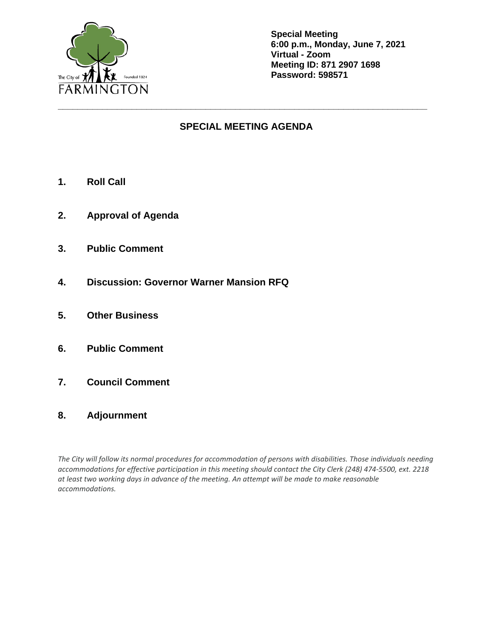

**Special Meeting 6:00 p.m., Monday, June 7, 2021 Virtual - Zoom Meeting ID: 871 2907 1698 Password: 598571**

## **SPECIAL MEETING AGENDA**

**\_\_\_\_\_\_\_\_\_\_\_\_\_\_\_\_\_\_\_\_\_\_\_\_\_\_\_\_\_\_\_\_\_\_\_\_\_\_\_\_\_\_\_\_\_\_\_\_\_\_\_\_\_\_\_\_\_\_\_\_\_\_\_\_\_\_\_\_\_\_\_\_\_\_\_**

- **1. Roll Call**
- **2. Approval of Agenda**
- **3. Public Comment**
- **4. Discussion: Governor Warner Mansion RFQ**
- **5. Other Business**
- **6. Public Comment**
- **7. Council Comment**
- **8. Adjournment**

*The City will follow its normal procedures for accommodation of persons with disabilities. Those individuals needing accommodations for effective participation in this meeting should contact the City Clerk (248) 474-5500, ext. 2218 at least two working days in advance of the meeting. An attempt will be made to make reasonable accommodations.*